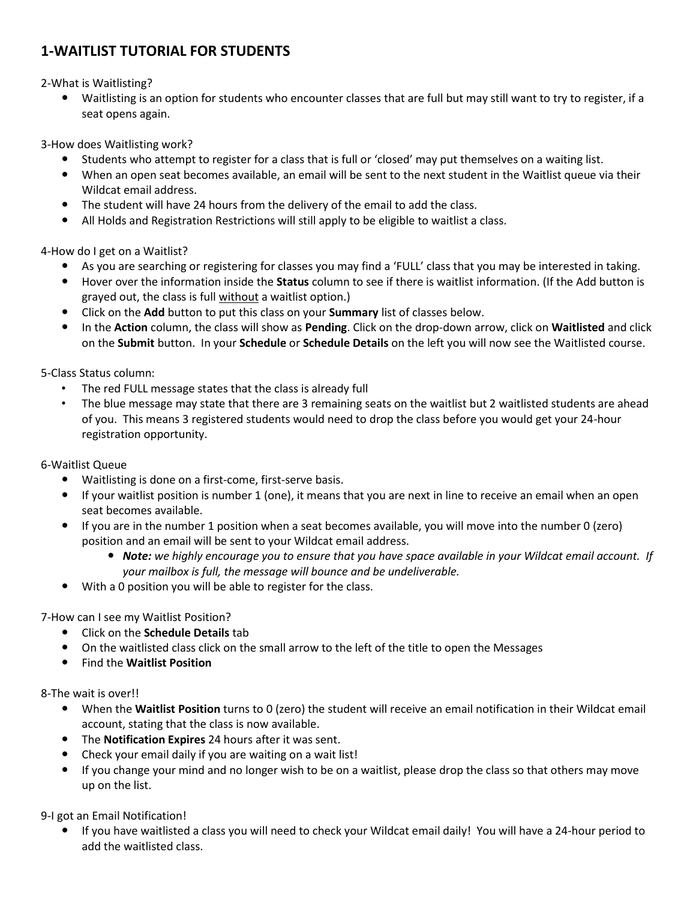## **1-WAITLIST TUTORIAL FOR STUDENTS**

2-What is Waitlisting?

 Waitlisting is an option for students who encounter classes that are full but may still want to try to register, if a seat opens again.

3-How does Waitlisting work?

- Students who attempt to register for a class that is full or 'closed' may put themselves on a waiting list.
- When an open seat becomes available, an email will be sent to the next student in the Waitlist queue via their Wildcat email address.
- The student will have 24 hours from the delivery of the email to add the class.
- All Holds and Registration Restrictions will still apply to be eligible to waitlist a class.

4-How do I get on a Waitlist?

- As you are searching or registering for classes you may find a 'FULL' class that you may be interested in taking.
- Hover over the information inside the **Status** column to see if there is waitlist information. (If the Add button is grayed out, the class is full without a waitlist option.)
- Click on the **Add** button to put this class on your **Summary** list of classes below.
- In the **Action** column, the class will show as **Pending**. Click on the drop-down arrow, click on **Waitlisted** and click on the **Submit** button. In your **Schedule** or **Schedule Details** on the left you will now see the Waitlisted course.

5-Class Status column:

- The red FULL message states that the class is already full
- The blue message may state that there are 3 remaining seats on the waitlist but 2 waitlisted students are ahead of you. This means 3 registered students would need to drop the class before you would get your 24-hour registration opportunity.

## 6-Waitlist Queue

- Waitlisting is done on a first-come, first-serve basis.
- If your waitlist position is number 1 (one), it means that you are next in line to receive an email when an open seat becomes available.
- If you are in the number 1 position when a seat becomes available, you will move into the number 0 (zero) position and an email will be sent to your Wildcat email address.
	- *Note: we highly encourage you to ensure that you have space available in your Wildcat email account. If your mailbox is full, the message will bounce and be undeliverable.*
- With a 0 position you will be able to register for the class.

7-How can I see my Waitlist Position?

- Click on the **Schedule Details** tab
- On the waitlisted class click on the small arrow to the left of the title to open the Messages
- Find the **Waitlist Position**

8-The wait is over!!

- When the **Waitlist Position** turns to 0 (zero) the student will receive an email notification in their Wildcat email account, stating that the class is now available.
- The **Notification Expires** 24 hours after it was sent.
- Check your email daily if you are waiting on a wait list!
- If you change your mind and no longer wish to be on a waitlist, please drop the class so that others may move up on the list.

9-I got an Email Notification!

 If you have waitlisted a class you will need to check your Wildcat email daily! You will have a 24-hour period to add the waitlisted class.